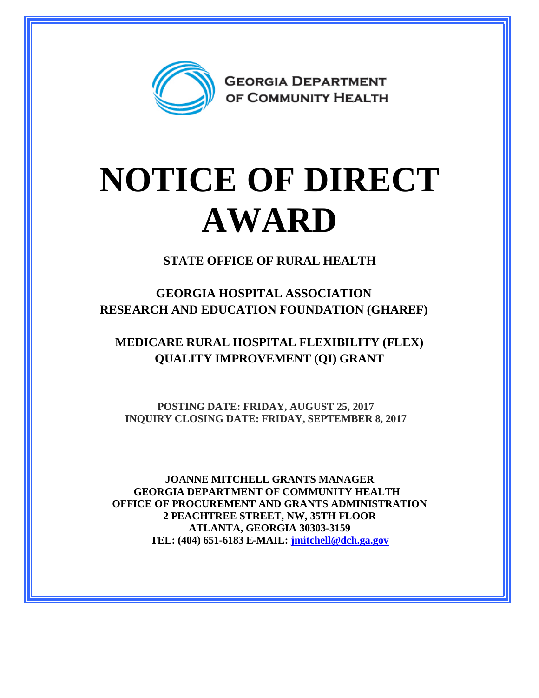

## **NOTICE OF DIRECT AWARD**

**STATE OFFICE OF RURAL HEALTH**

**GEORGIA HOSPITAL ASSOCIATION RESEARCH AND EDUCATION FOUNDATION (GHAREF)**

**MEDICARE RURAL HOSPITAL FLEXIBILITY (FLEX) QUALITY IMPROVEMENT (QI) GRANT**

**POSTING DATE: FRIDAY, AUGUST 25, 2017 INQUIRY CLOSING DATE: FRIDAY, SEPTEMBER 8, 2017**

**JOANNE MITCHELL GRANTS MANAGER GEORGIA DEPARTMENT OF COMMUNITY HEALTH OFFICE OF PROCUREMENT AND GRANTS ADMINISTRATION 2 PEACHTREE STREET, NW, 35TH FLOOR ATLANTA, GEORGIA 30303-3159 TEL: (404) 651-6183 E-MAIL: [jmitchell@dch.ga.gov](mailto:jmitchell@dch.ga.gov)**